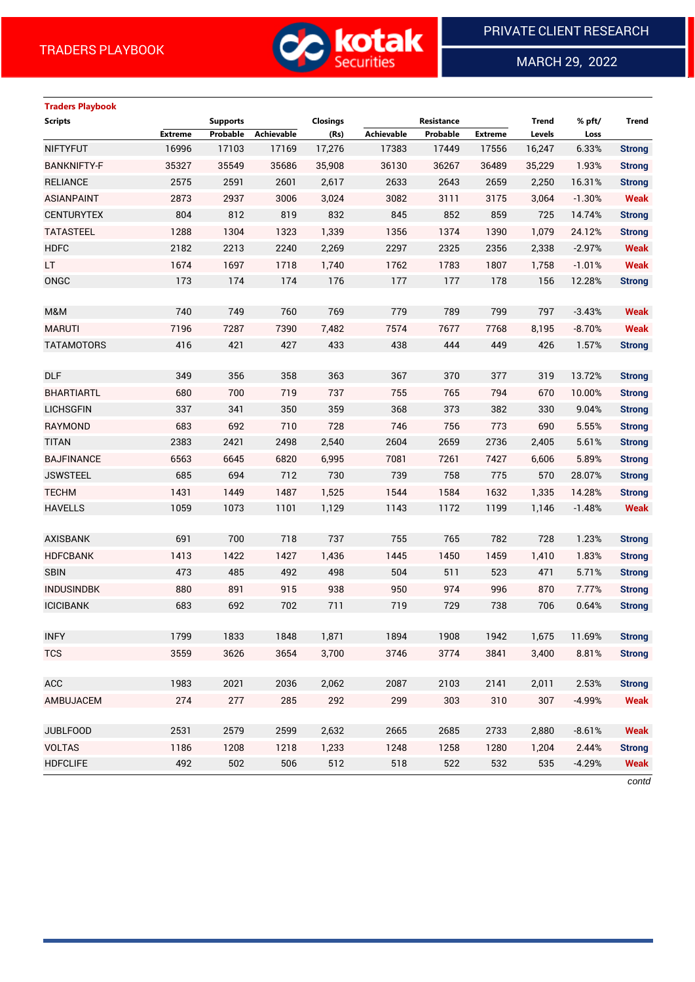

MARCH 29, 2022

 $\overline{a}$ 

# **Traders Playbook**

| <b>Scripts</b>     |                | <b>Supports</b> |            | <b>Closings</b> |            | Resistance |                | <b>Trend</b> | % pft/   | <b>Trend</b>  |
|--------------------|----------------|-----------------|------------|-----------------|------------|------------|----------------|--------------|----------|---------------|
|                    | <b>Extreme</b> | Probable        | Achievable | (Rs)            | Achievable | Probable   | <b>Extreme</b> | Levels       | Loss     |               |
| <b>NIFTYFUT</b>    | 16996          | 17103           | 17169      | 17,276          | 17383      | 17449      | 17556          | 16,247       | 6.33%    | <b>Strong</b> |
| <b>BANKNIFTY-F</b> | 35327          | 35549           | 35686      | 35,908          | 36130      | 36267      | 36489          | 35,229       | 1.93%    | <b>Strong</b> |
| <b>RELIANCE</b>    | 2575           | 2591            | 2601       | 2,617           | 2633       | 2643       | 2659           | 2,250        | 16.31%   | <b>Strong</b> |
| <b>ASIANPAINT</b>  | 2873           | 2937            | 3006       | 3,024           | 3082       | 3111       | 3175           | 3,064        | $-1.30%$ | <b>Weak</b>   |
| <b>CENTURYTEX</b>  | 804            | 812             | 819        | 832             | 845        | 852        | 859            | 725          | 14.74%   | <b>Strong</b> |
| <b>TATASTEEL</b>   | 1288           | 1304            | 1323       | 1,339           | 1356       | 1374       | 1390           | 1,079        | 24.12%   | <b>Strong</b> |
| <b>HDFC</b>        | 2182           | 2213            | 2240       | 2,269           | 2297       | 2325       | 2356           | 2,338        | $-2.97%$ | <b>Weak</b>   |
| LT.                | 1674           | 1697            | 1718       | 1,740           | 1762       | 1783       | 1807           | 1,758        | $-1.01%$ | <b>Weak</b>   |
| ONGC               | 173            | 174             | 174        | 176             | 177        | 177        | 178            | 156          | 12.28%   | <b>Strong</b> |
|                    |                |                 |            |                 |            |            |                |              |          |               |
| M&M                | 740            | 749             | 760        | 769             | 779        | 789        | 799            | 797          | $-3.43%$ | <b>Weak</b>   |
| <b>MARUTI</b>      | 7196           | 7287            | 7390       | 7,482           | 7574       | 7677       | 7768           | 8,195        | $-8.70%$ | <b>Weak</b>   |
| <b>TATAMOTORS</b>  | 416            | 421             | 427        | 433             | 438        | 444        | 449            | 426          | 1.57%    | <b>Strong</b> |
|                    |                |                 |            |                 |            |            |                |              |          |               |
| <b>DLF</b>         | 349            | 356             | 358        | 363             | 367        | 370        | 377            | 319          | 13.72%   | <b>Strong</b> |
| <b>BHARTIARTL</b>  | 680            | 700             | 719        | 737             | 755        | 765        | 794            | 670          | 10.00%   | <b>Strong</b> |
| <b>LICHSGFIN</b>   | 337            | 341             | 350        | 359             | 368        | 373        | 382            | 330          | 9.04%    | <b>Strong</b> |
| <b>RAYMOND</b>     | 683            | 692             | 710        | 728             | 746        | 756        | 773            | 690          | 5.55%    | <b>Strong</b> |
| <b>TITAN</b>       | 2383           | 2421            | 2498       | 2,540           | 2604       | 2659       | 2736           | 2,405        | 5.61%    | <b>Strong</b> |
| <b>BAJFINANCE</b>  | 6563           | 6645            | 6820       | 6,995           | 7081       | 7261       | 7427           | 6,606        | 5.89%    | <b>Strong</b> |
| <b>JSWSTEEL</b>    | 685            | 694             | 712        | 730             | 739        | 758        | 775            | 570          | 28.07%   | <b>Strong</b> |
| <b>TECHM</b>       | 1431           | 1449            | 1487       | 1,525           | 1544       | 1584       | 1632           | 1,335        | 14.28%   | <b>Strong</b> |
| <b>HAVELLS</b>     | 1059           | 1073            | 1101       | 1,129           | 1143       | 1172       | 1199           | 1,146        | $-1.48%$ | <b>Weak</b>   |
|                    |                |                 |            |                 |            |            |                |              |          |               |
| <b>AXISBANK</b>    | 691            | 700             | 718        | 737             | 755        | 765        | 782            | 728          | 1.23%    | <b>Strong</b> |
| <b>HDFCBANK</b>    | 1413           | 1422            | 1427       | 1,436           | 1445       | 1450       | 1459           | 1,410        | 1.83%    | <b>Strong</b> |
| <b>SBIN</b>        | 473            | 485             | 492        | 498             | 504        | 511        | 523            | 471          | 5.71%    | <b>Strong</b> |
| <b>INDUSINDBK</b>  | 880            | 891             | 915        | 938             | 950        | 974        | 996            | 870          | 7.77%    | <b>Strong</b> |
| <b>ICICIBANK</b>   | 683            | 692             | 702        | 711             | 719        | 729        | 738            | 706          | 0.64%    | <b>Strong</b> |
|                    |                |                 |            |                 |            |            |                |              |          |               |
| <b>INFY</b>        | 1799           | 1833            | 1848       | 1,871           | 1894       | 1908       | 1942           | 1,675        | 11.69%   | <b>Strong</b> |
| <b>TCS</b>         | 3559           | 3626            | 3654       | 3,700           | 3746       | 3774       | 3841           | 3,400        | 8.81%    | <b>Strong</b> |
|                    |                |                 |            |                 |            |            |                |              |          |               |
| ACC                | 1983           | 2021            | 2036       | 2,062           | 2087       | 2103       | 2141           | 2,011        | 2.53%    | <b>Strong</b> |
| AMBUJACEM          | 274            | 277             | 285        | 292             | 299        | 303        | 310            | 307          | $-4.99%$ | <b>Weak</b>   |
|                    |                |                 |            |                 |            |            |                |              |          |               |
| <b>JUBLFOOD</b>    | 2531           | 2579            | 2599       | 2,632           | 2665       | 2685       | 2733           | 2,880        | $-8.61%$ | <b>Weak</b>   |
| <b>VOLTAS</b>      | 1186           | 1208            | 1218       | 1,233           | 1248       | 1258       | 1280           | 1,204        | 2.44%    | <b>Strong</b> |
| <b>HDFCLIFE</b>    | 492            | 502             | 506        | 512             | 518        | 522        | 532            | 535          | $-4.29%$ | <b>Weak</b>   |

*contd*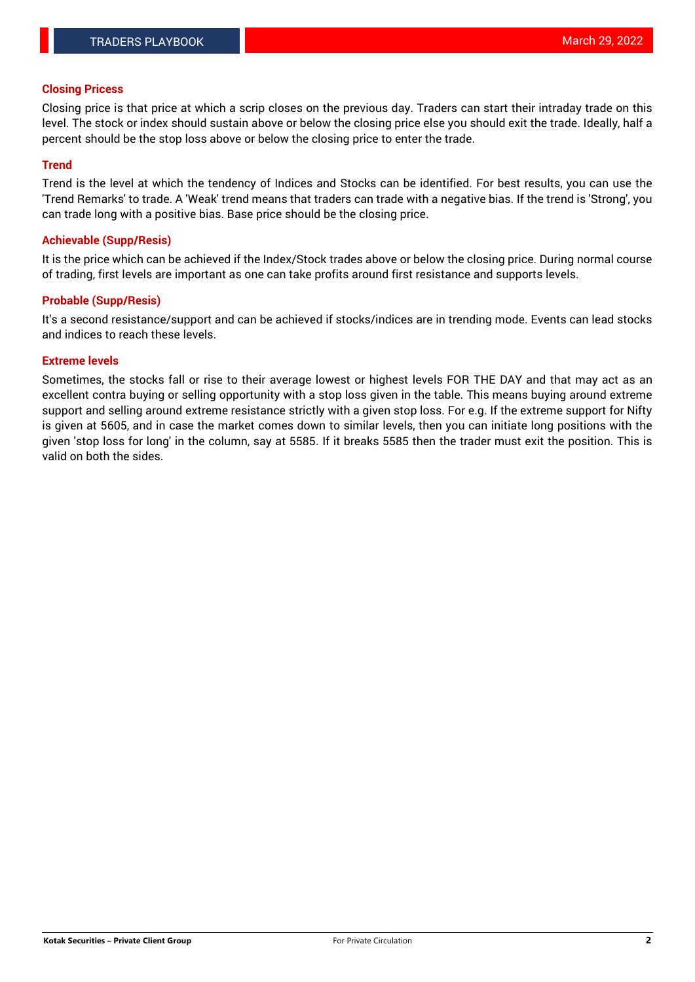#### **Closing Pricess**

Closing price is that price at which a scrip closes on the previous day. Traders can start their intraday trade on this level. The stock or index should sustain above or below the closing price else you should exit the trade. Ideally, half a percent should be the stop loss above or below the closing price to enter the trade.

#### **Trend**

Trend is the level at which the tendency of Indices and Stocks can be identified. For best results, you can use the 'Trend Remarks' to trade. A 'Weak' trend means that traders can trade with a negative bias. If the trend is 'Strong', you can trade long with a positive bias. Base price should be the closing price.

#### **Achievable (Supp/Resis)**

It is the price which can be achieved if the Index/Stock trades above or below the closing price. During normal course of trading, first levels are important as one can take profits around first resistance and supports levels.

## **Probable (Supp/Resis)**

It's a second resistance/support and can be achieved if stocks/indices are in trending mode. Events can lead stocks and indices to reach these levels.

## **Extreme levels**

Sometimes, the stocks fall or rise to their average lowest or highest levels FOR THE DAY and that may act as an excellent contra buying or selling opportunity with a stop loss given in the table. This means buying around extreme support and selling around extreme resistance strictly with a given stop loss. For e.g. If the extreme support for Nifty is given at 5605, and in case the market comes down to similar levels, then you can initiate long positions with the given 'stop loss for long' in the column, say at 5585. If it breaks 5585 then the trader must exit the position. This is valid on both the sides.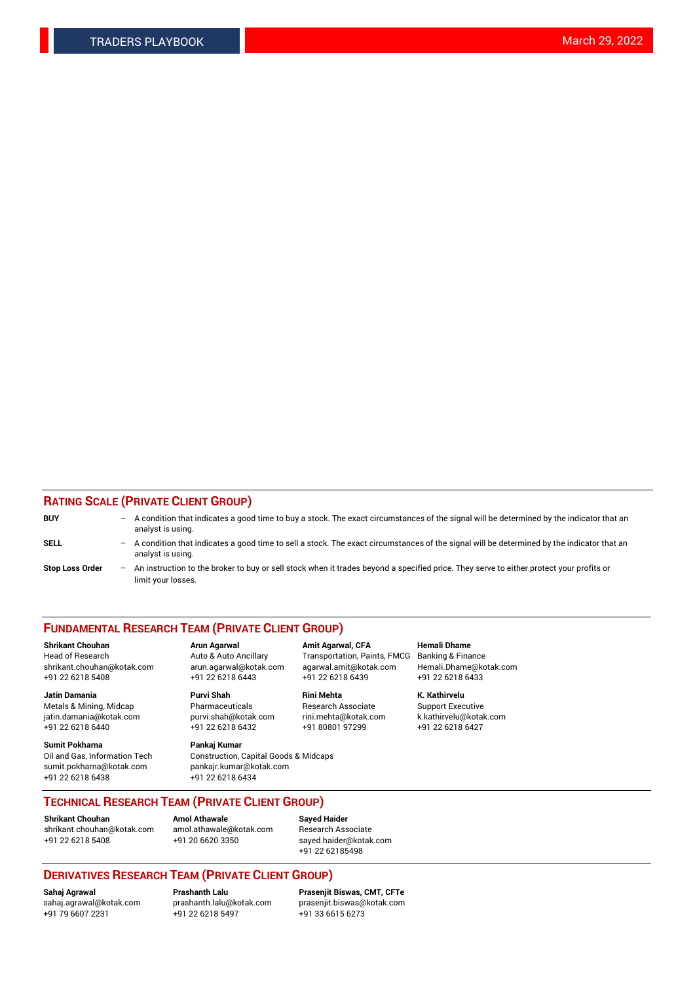## **RATING SCALE (PRIVATE CLIENT GROUP)**

| <b>BUY</b>             | $-$ | A condition that indicates a good time to buy a stock. The exact circumstances of the signal will be determined by the indicator that an<br>analyst is using.    |
|------------------------|-----|------------------------------------------------------------------------------------------------------------------------------------------------------------------|
| <b>SELL</b>            |     | - A condition that indicates a good time to sell a stock. The exact circumstances of the signal will be determined by the indicator that an<br>analyst is using. |
| <b>Stop Loss Order</b> |     | An instruction to the broker to buy or sell stock when it trades beyond a specified price. They serve to either protect your profits or<br>limit your losses.    |

#### **FUNDAMENTAL RESEARCH TEAM (PRIVATE CLIENT GROUP)**

**Shrikant Chouhan Arun Agarwal Amit Agarwal, CFA Hemali Dhame** Head of Research Auto & Auto Ancillary Transportation, Paints, FMCG Banking & Finance shrikant.chouhan@kotak.com arun.agarwal@kotak.com agarwal.amit@kotak.com Hemali.Dhame@kotak.com +91 22 6218 5408 +91 22 6218 6443 +91 22 6218 6439 +91 22 6218 6433

**Jatin Damania Purvi Shah Rini Mehta K. Kathirvelu** Metals & Mining, Midcap **Pharmaceuticals** Research Associate Support Executive jatin.damania@kotak.com [purvi.shah@kotak.com](mailto:purvi.shah@kotak.com) rini.mehta@kotak.com [k.kathirvelu@kotak.com](mailto:k.kathirvelu@kotak.com)  $+91$  22 6218 6440  $+91$  22 6218 6432

**Sumit Pokharna Pankaj Kumar** sumit.pokharna@kotak.com pankajr.kumar@kotak.com +91 22 6218 6438 +91 22 6218 6434

Oil and Gas, Information Tech Construction, Capital Goods & Midcaps

**TECHNICAL RESEARCH TEAM (PRIVATE CLIENT GROUP)**

**Shrikant Chouhan Amol Athawale Sayed Haider** [shrikant.chouhan@kotak.com](mailto:shrikant.chouhan@kotak.com) [amol.athawale@kotak.com](mailto:amol.athawale@kotak.com) Research Associate +91 22 6218 5408 +91 20 6620 3350 [sayed.haider@kotak.com](mailto:sayed.haider@kotak.com)

+91 22 62185498

# **DERIVATIVES RESEARCH TEAM (PRIVATE CLIENT GROUP)**

 $+91$  22 6218 5497

**Sahaj Agrawal Prashanth Lalu Prasenjit Biswas, CMT, CFTe** [sahaj.agrawal@kotak.com](mailto:sahaj.agrawal@kotak.com) [prashanth.lalu@kotak.com](mailto:prashanth.lalu@kotak.com) [prasenjit.biswas@kotak.com](mailto:prasenjit.biswas@kotak.com)